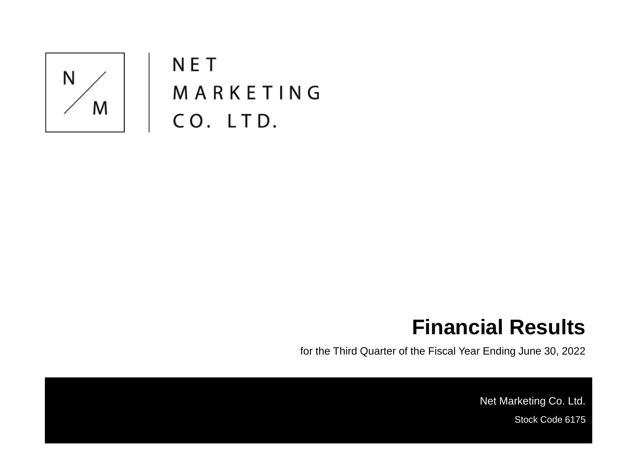

**NET** MARKETING CO. LTD.

### **Financial Results**

for the Third Quarter of the Fiscal Year Ending June 30, 2022

Net Marketing Co. Ltd. Stock Code 6175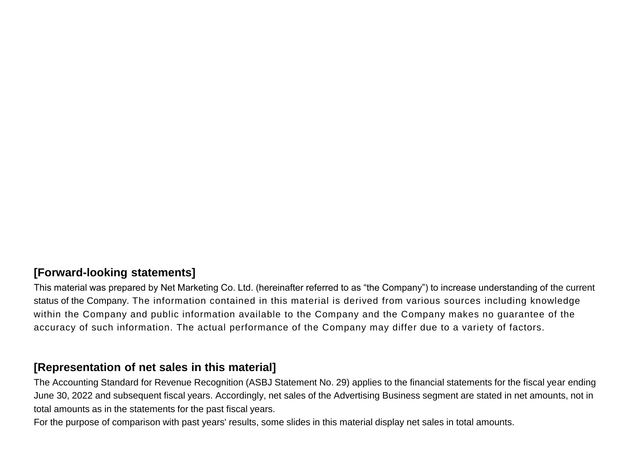#### **[Forward-looking statements]**

This material was prepared by Net Marketing Co. Ltd. (hereinafter referred to as "the Company") to increase understanding of the current status of the Company. The information contained in this material is derived from various sources including knowledge within the Company and public information available to the Company and the Company makes no guarantee of the accuracy of such information. The actual performance of the Company may differ due to a variety of factors.

#### **[Representation of net sales in this material]**

The Accounting Standard for Revenue Recognition (ASBJ Statement No. 29) applies to the financial statements for the fiscal year ending June 30, 2022 and subsequent fiscal years. Accordingly, net sales of the Advertising Business segment are stated in net amounts, not in total amounts as in the statements for the past fiscal years.

For the purpose of comparison with past years' results, some slides in this material display net sales in total amounts.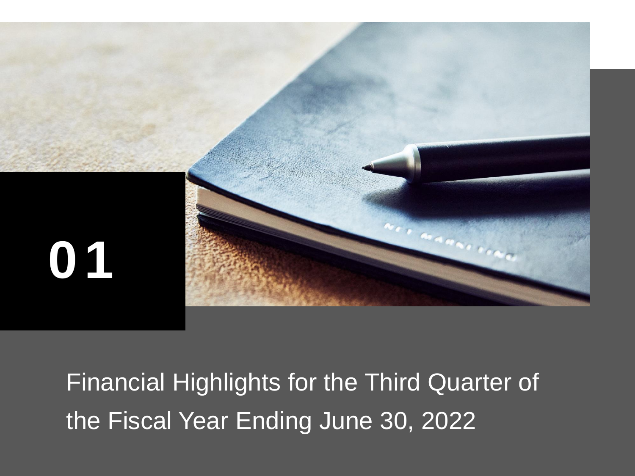

Financial Highlights for the Third Quarter of the Fiscal Year Ending June 30, 2022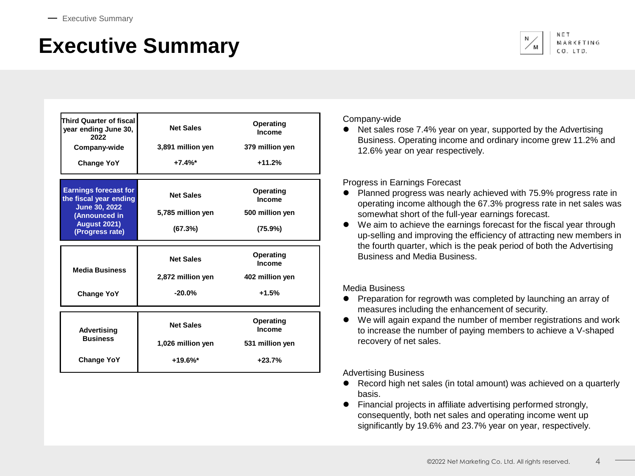# **Executive Summary**



| Third Quarter of fiscal<br>year ending June 30,<br>2022<br>Company-wide<br><b>Change YoY</b>                                              | <b>Net Sales</b><br>3,891 million yen<br>$+7.4%$ *  | Operating<br>Income<br>379 million yen<br>$+11.2%$ |  |
|-------------------------------------------------------------------------------------------------------------------------------------------|-----------------------------------------------------|----------------------------------------------------|--|
| <b>Earnings forecast for</b><br>the fiscal year ending<br><b>June 30, 2022</b><br>(Announced in<br><b>August 2021)</b><br>(Progress rate) | <b>Net Sales</b><br>5,785 million yen<br>(67.3%)    | Operating<br>Income<br>500 million yen<br>(75.9%)  |  |
| <b>Media Business</b><br><b>Change YoY</b>                                                                                                | <b>Net Sales</b><br>2,872 million yen<br>$-20.0%$   | Operating<br>Income<br>402 million yen<br>$+1.5%$  |  |
| <b>Advertising</b><br><b>Business</b><br><b>Change YoY</b>                                                                                | <b>Net Sales</b><br>1,026 million yen<br>$+19.6%$ * | Operating<br>Income<br>531 million yen<br>$+23.7%$ |  |

#### Company-wide

Net sales rose 7.4% year on year, supported by the Advertising Business. Operating income and ordinary income grew 11.2% and 12.6% year on year respectively.

#### Progress in Earnings Forecast

- ⚫ Planned progress was nearly achieved with 75.9% progress rate in operating income although the 67.3% progress rate in net sales was somewhat short of the full-year earnings forecast.
- ⚫ We aim to achieve the earnings forecast for the fiscal year through up-selling and improving the efficiency of attracting new members in the fourth quarter, which is the peak period of both the Advertising Business and Media Business.

#### Media Business

- ⚫ Preparation for regrowth was completed by launching an array of measures including the enhancement of security.
- We will again expand the number of member registrations and work to increase the number of paying members to achieve a V-shaped recovery of net sales.

Advertising Business

- ⚫ Record high net sales (in total amount) was achieved on a quarterly basis.
- ⚫ Financial projects in affiliate advertising performed strongly, consequently, both net sales and operating income went up significantly by 19.6% and 23.7% year on year, respectively.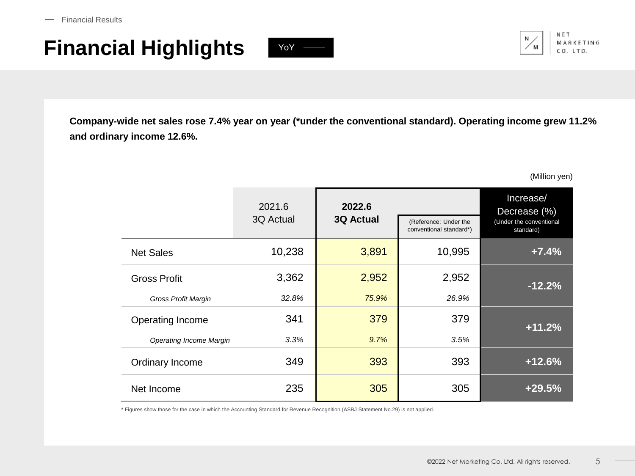# **Financial Highlights** YoY  $\rightarrow$





**Company-wide net sales rose 7.4% year on year (\*under the conventional standard). Operating income grew 11.2% and ordinary income 12.6%.**

(Million yen)

|                                | 2021.6<br>3Q Actual | 2022.6<br><b>3Q Actual</b> | (Reference: Under the<br>conventional standard*) | Increase/<br>Decrease (%)<br>(Under the conventional<br>standard) |
|--------------------------------|---------------------|----------------------------|--------------------------------------------------|-------------------------------------------------------------------|
| <b>Net Sales</b>               | 10,238              | 3,891                      | 10,995                                           | $+7.4%$                                                           |
| <b>Gross Profit</b>            | 3,362               | 2,952                      | 2,952                                            | $-12.2%$                                                          |
| <b>Gross Profit Margin</b>     | 32.8%               | 75.9%                      | 26.9%                                            |                                                                   |
| Operating Income               | 341                 | 379                        | 379                                              | $+11.2%$                                                          |
| <b>Operating Income Margin</b> | 3.3%                | 9.7%                       | 3.5%                                             |                                                                   |
| Ordinary Income                | 349                 | 393                        | 393                                              | $+12.6%$                                                          |
| Net Income                     | 235                 | 305                        | 305                                              | $+29.5%$                                                          |

\* Figures show those for the case in which the Accounting Standard for Revenue Recognition (ASBJ Statement No.29) is not applied.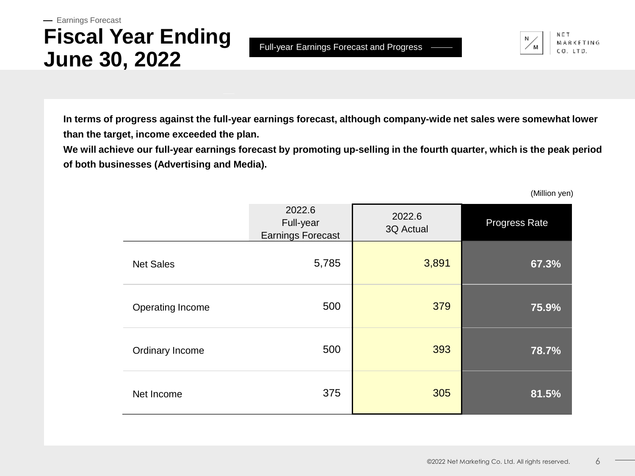### **Fiscal Year Ending June 30, 2022** - Earnings Forecast

Full-year Earnings Forecast and Progress

**KETING** 

**In terms of progress against the full-year earnings forecast, although company-wide net sales were somewhat lower than the target, income exceeded the plan.**

**We will achieve our full-year earnings forecast by promoting up-selling in the fourth quarter, which is the peak period of both businesses (Advertising and Media).**

(Million yen)

|                  | 2022.6<br>Full-year<br><b>Earnings Forecast</b> | 2022.6<br>3Q Actual | Progress Rate |
|------------------|-------------------------------------------------|---------------------|---------------|
| <b>Net Sales</b> | 5,785                                           | 3,891               | 67.3%         |
| Operating Income | 500                                             | 379                 | 75.9%         |
| Ordinary Income  | 500                                             | 393                 | 78.7%         |
| Net Income       | 375                                             | 305                 | 81.5%         |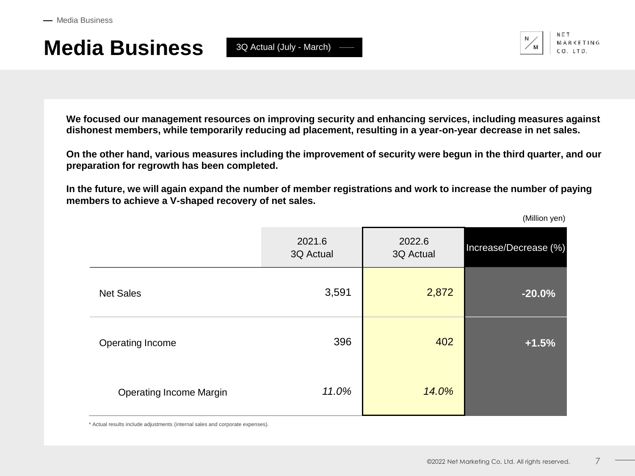3Q Actual (July - March)



**We focused our management resources on improving security and enhancing services, including measures against dishonest members, while temporarily reducing ad placement, resulting in a year-on-year decrease in net sales.**

**On the other hand, various measures including the improvement of security were begun in the third quarter, and our preparation for regrowth has been completed.**

**In the future, we will again expand the number of member registrations and work to increase the number of paying members to achieve a V-shaped recovery of net sales.**

(Million yen)

|                                | 2021.6<br>3Q Actual | 2022.6<br>3Q Actual | Increase/Decrease (%) |
|--------------------------------|---------------------|---------------------|-----------------------|
| <b>Net Sales</b>               | 3,591               | 2,872               | $-20.0%$              |
| Operating Income               | 396                 | 402                 | $+1.5%$               |
| <b>Operating Income Margin</b> | 11.0%               | 14.0%               |                       |

\* Actual results include adjustments (internal sales and corporate expenses).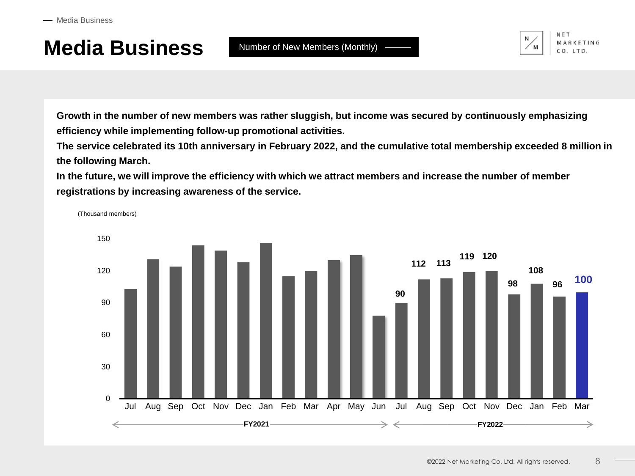

**Growth in the number of new members was rather sluggish, but income was secured by continuously emphasizing efficiency while implementing follow-up promotional activities.**

**The service celebrated its 10th anniversary in February 2022, and the cumulative total membership exceeded 8 million in the following March.**

**In the future, we will improve the efficiency with which we attract members and increase the number of member registrations by increasing awareness of the service.**

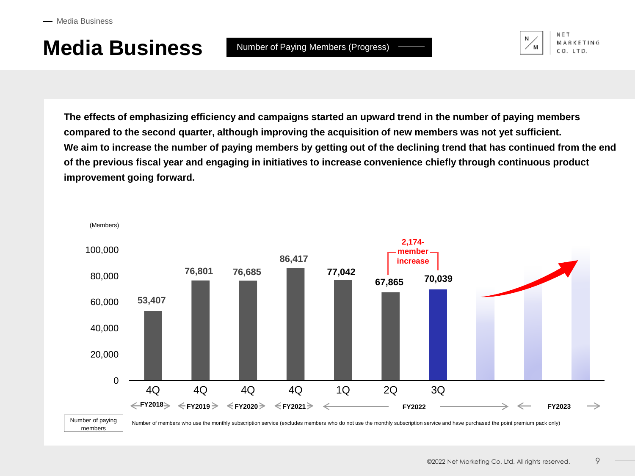

**The effects of emphasizing efficiency and campaigns started an upward trend in the number of paying members compared to the second quarter, although improving the acquisition of new members was not yet sufficient. We aim to increase the number of paying members by getting out of the declining trend that has continued from the end of the previous fiscal year and engaging in initiatives to increase convenience chiefly through continuous product improvement going forward.**

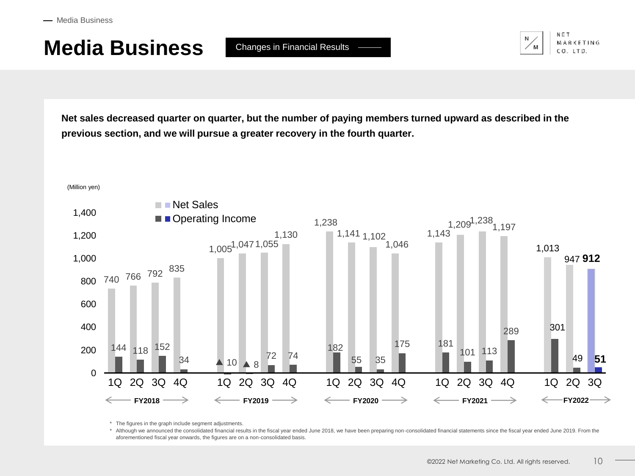### **Media Business** Changes in Financial Results



**Net sales decreased quarter on quarter, but the number of paying members turned upward as described in the previous section, and we will pursue a greater recovery in the fourth quarter.**



\* The figures in the graph include segment adjustments.

\* Although we announced the consolidated financial results in the fiscal year ended June 2018, we have been preparing non-consolidated financial statements since the fiscal year ended June 2019. From the aforementioned fiscal year onwards, the figures are on a non-consolidated basis.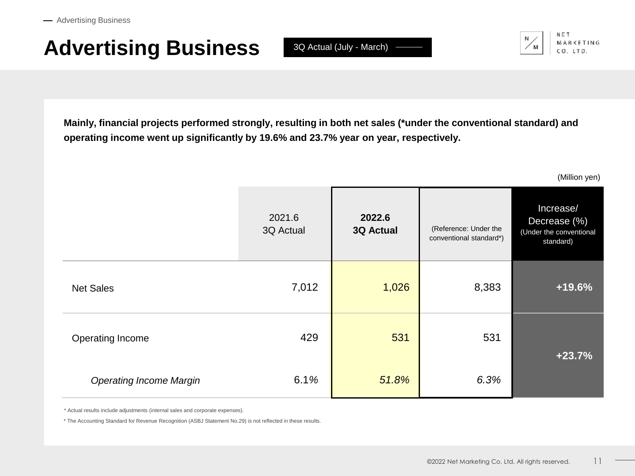# **Advertising Business**

 $3Q$  Actual (July - March)  $-$ 



**Mainly, financial projects performed strongly, resulting in both net sales (\*under the conventional standard) and operating income went up significantly by 19.6% and 23.7% year on year, respectively.**

(Million yen)

|                                | 2021.6<br>3Q Actual | 2022.6<br><b>3Q Actual</b> | (Reference: Under the<br>conventional standard*) | Increase/<br>Decrease (%)<br>(Under the conventional<br>standard) |
|--------------------------------|---------------------|----------------------------|--------------------------------------------------|-------------------------------------------------------------------|
| <b>Net Sales</b>               | 7,012               | 1,026                      | 8,383                                            | $+19.6%$                                                          |
| Operating Income               | 429                 | 531                        | 531                                              | $+23.7%$                                                          |
| <b>Operating Income Margin</b> | 6.1%                | 51.8%                      | 6.3%                                             |                                                                   |

\* Actual results include adjustments (internal sales and corporate expenses).

\* The Accounting Standard for Revenue Recognition (ASBJ Statement No.29) is not reflected in these results.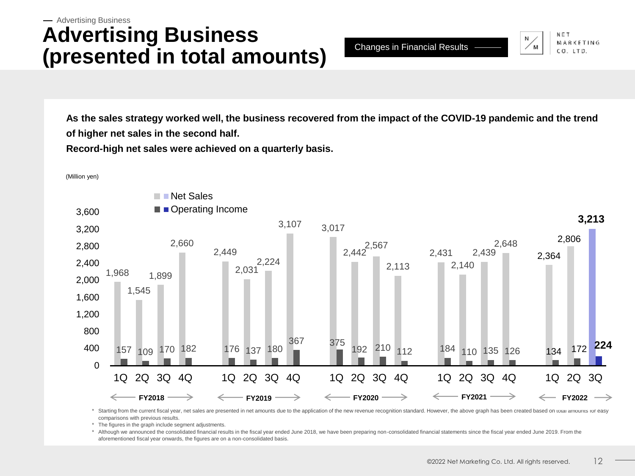#### **Advertising Business (presented in total amounts)** Advertising Business

Changes in Financial Results

MARKETING CO. LTD.

**As the sales strategy worked well, the business recovered from the impact of the COVID-19 pandemic and the trend of higher net sales in the second half.**

**Record-high net sales were achieved on a quarterly basis.**



\* Starting from the current fiscal year, net sales are presented in net amounts due to the application of the new revenue recognition standard. However, the above graph has been created based on total amounts for easy comparisons with previous results.

\* The figures in the graph include segment adjustments.

\* Although we announced the consolidated financial results in the fiscal year ended June 2018, we have been preparing non-consolidated financial statements since the fiscal year ended June 2019. From the aforementioned fiscal year onwards, the figures are on a non-consolidated basis.

(Million yen)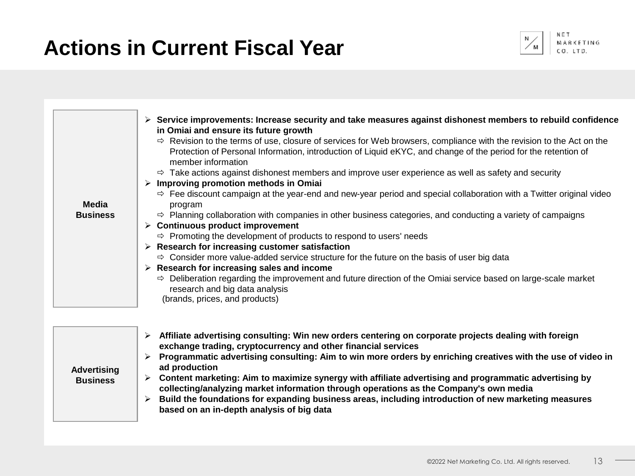# **Actions in Current Fiscal Year**



**BKETING**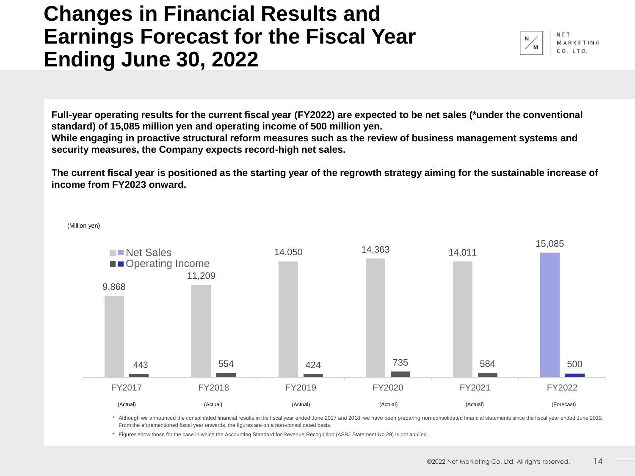### **Changes in Financial Results and Earnings Forecast for the Fiscal Year Ending June 30, 2022**



**Full-year operating results for the current fiscal year (FY2022) are expected to be net sales (\*under the conventional standard) of 15,085 million yen and operating income of 500 million yen.**

**While engaging in proactive structural reform measures such as the review of business management systems and security measures, the Company expects record-high net sales.**

**The current fiscal year is positioned as the starting year of the regrowth strategy aiming for the sustainable increase of income from FY2023 onward.**



\* Although we announced the consolidated financial results in the fiscal year ended June 2017 and 2018, we have been preparing non-consolidated financial statements since the fiscal year ended June 2019. From the aforementioned fiscal year onwards, the figures are on a non-consolidated basis.

\* Figures show those for the case in which the Accounting Standard for Revenue Recognition (ASBJ Statement No.29) is not applied.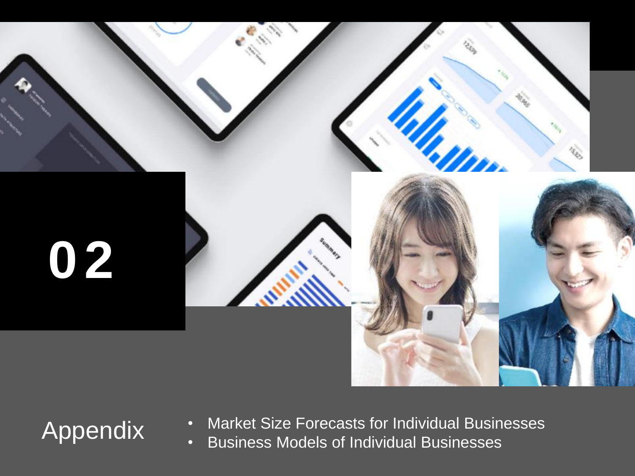

- 内部留保とのバランスを勘案し、業績に応じた株主還元を実施する方針です。 Appendix • Market Size Forecasts for Individual Businesses
	- Business Models of Individual Businesses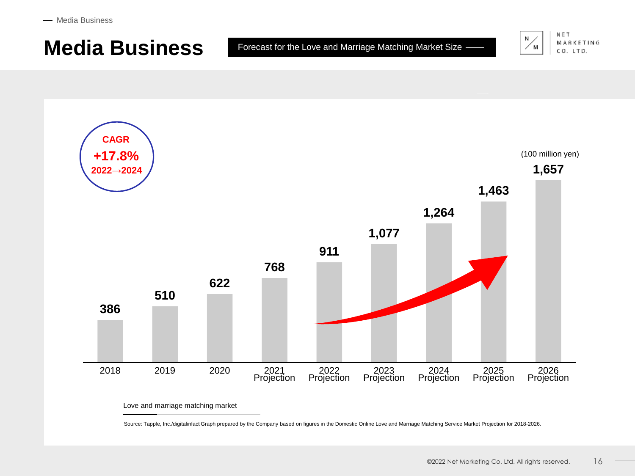$-$  Media Business

### **Media Business** Forecast for the Love and Marriage Matching Market Size -



MARKETING CO. LTD.



Love and marriage matching market

Source: Tapple, Inc./digitalinfact Graph prepared by the Company based on figures in the Domestic Online Love and Marriage Matching Service Market Projection for 2018-2026.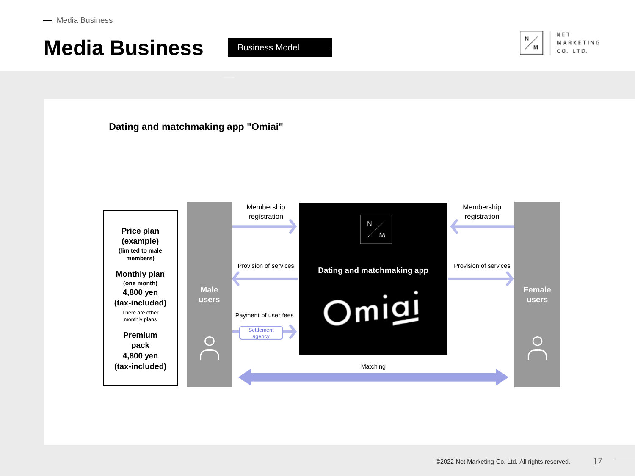Business Model -



**Dating and matchmaking app "Omiai"**

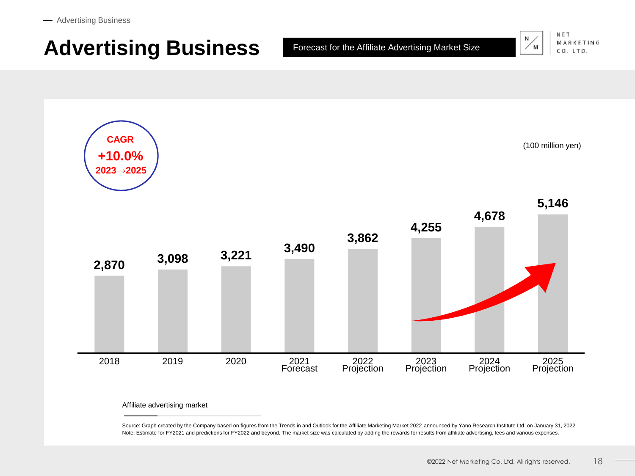### **Advertising Business**

Forecast for the Affiliate Advertising Market Size



MARKETING CO. LTD.

(100 million yen)



Affiliate advertising market

Source: Graph created by the Company based on figures from the Trends in and Outlook for the Affiliate Marketing Market 2022 announced by Yano Research Institute Ltd. on January 31, 2022 Note: Estimate for FY2021 and predictions for FY2022 and beyond. The market size was calculated by adding the rewards for results from affiliate advertising, fees and various expenses.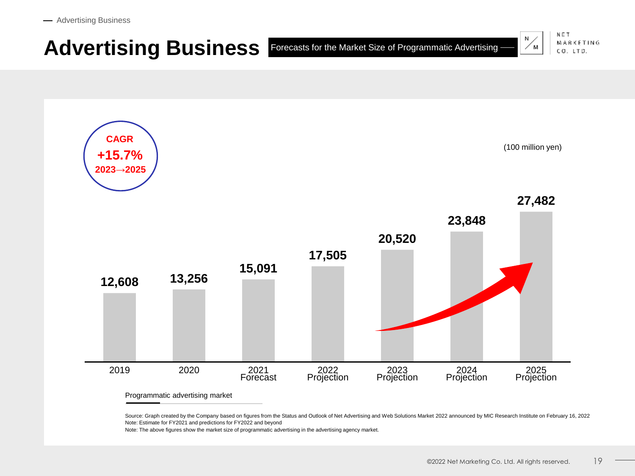#### Ν Advertising Business **Forecasts for the Market Size of Programmatic Advertising** ∕ M

**12,608 13,256 15,091 17,505 20,520 23,848 27,482**  2019 2020 2021 **Forecast** 2022 Projection 2023 Projection 2024 Projection 2025 Projection (100 million yen) **CAGR +15.7% 2023→2025**

Programmatic advertising market

Source: Graph created by the Company based on figures from the Status and Outlook of Net Advertising and Web Solutions Market 2022 announced by MIC Research Institute on February 16, 2022 Note: Estimate for FY2021 and predictions for FY2022 and beyond

Note: The above figures show the market size of programmatic advertising in the advertising agency market.

NET

MARKETING

CO. LTD.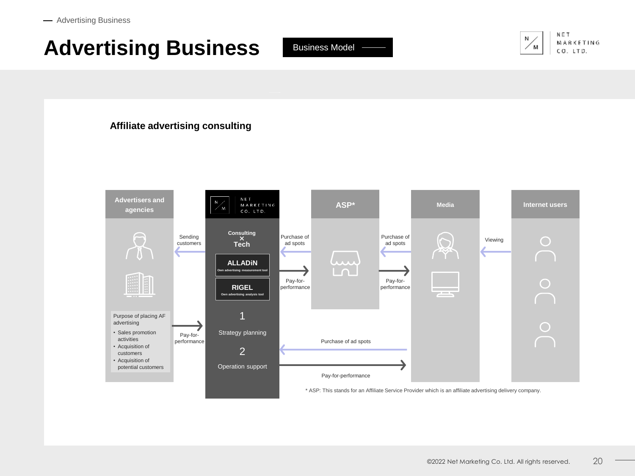# **Advertising Business**

Business Model



**MARKETING** CO. LTD.

#### **Affiliate advertising consulting**

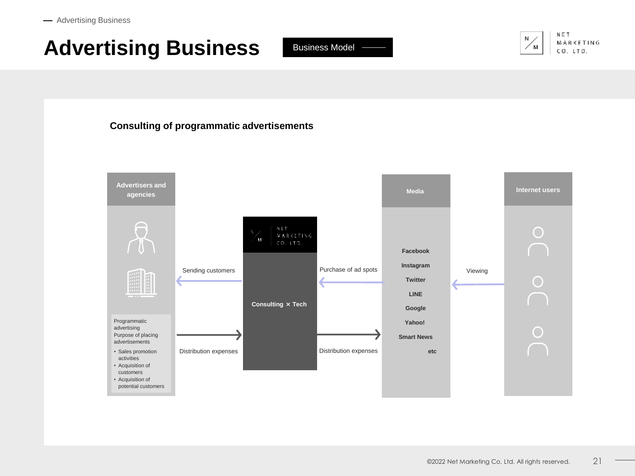# **Advertising Business**

Business Model



NET MARKETING CO. LTD.

#### **Consulting of programmatic advertisements**

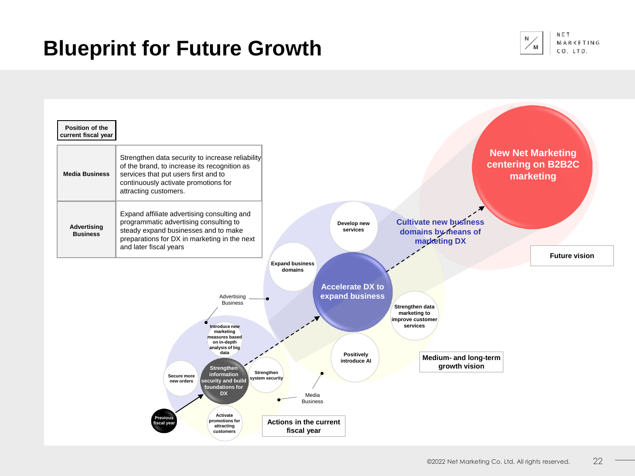## **Blueprint for Future Growth**



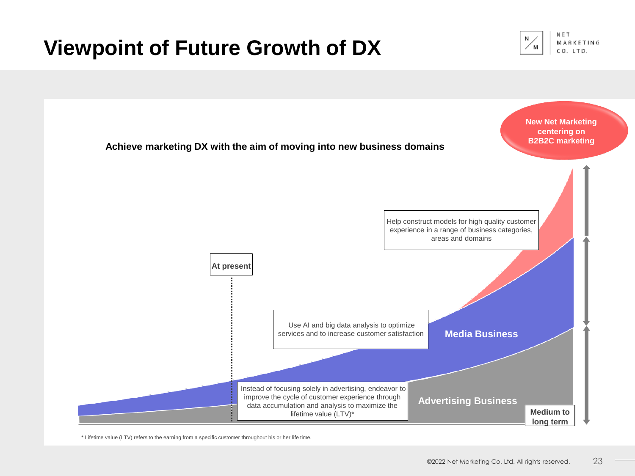# **Viewpoint of Future Growth of DX**





\* Lifetime value (LTV) refers to the earning from a specific customer throughout his or her life time.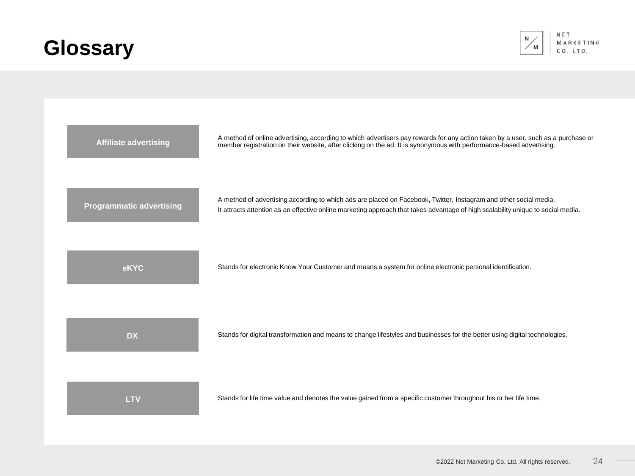# **Glossary**



| <b>Affiliate advertising</b>    | A method of online advertising, according to which advertisers pay rewards for any action taken by a user, such as a purchase or<br>member registration on their website, after clicking on the ad. It is synonymous with performance-based advertising. |
|---------------------------------|----------------------------------------------------------------------------------------------------------------------------------------------------------------------------------------------------------------------------------------------------------|
| <b>Programmatic advertising</b> | A method of advertising according to which ads are placed on Facebook, Twitter, Instagram and other social media.<br>It attracts attention as an effective online marketing approach that takes advantage of high scalability unique to social media.    |
| eKYC                            | Stands for electronic Know Your Customer and means a system for online electronic personal identification.                                                                                                                                               |
| <b>DX</b>                       | Stands for digital transformation and means to change lifestyles and businesses for the better using digital technologies.                                                                                                                               |
| <b>LTV</b>                      | Stands for life time value and denotes the value gained from a specific customer throughout his or her life time.                                                                                                                                        |